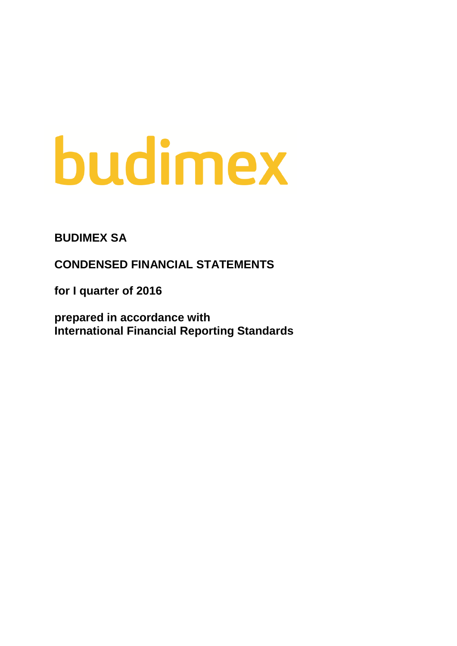# budimex

**BUDIMEX SA**

**CONDENSED FINANCIAL STATEMENTS**

**for I quarter of 2016**

**prepared in accordance with International Financial Reporting Standards**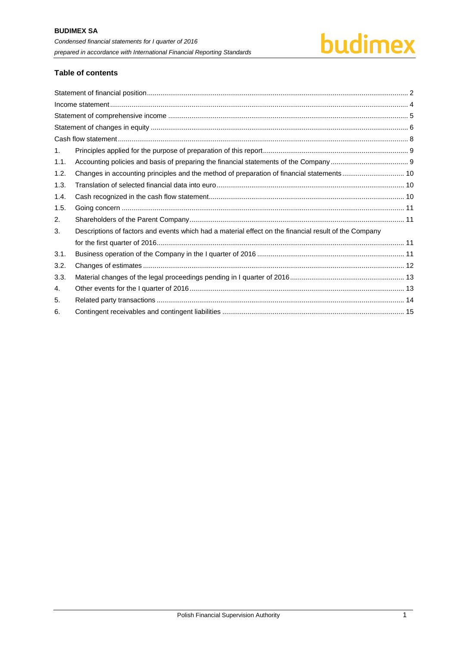# **Table of contents**

| 1.   |                                                                                                       |  |
|------|-------------------------------------------------------------------------------------------------------|--|
| 1.1. |                                                                                                       |  |
| 1.2. |                                                                                                       |  |
| 1.3. |                                                                                                       |  |
| 1.4. |                                                                                                       |  |
| 1.5. |                                                                                                       |  |
| 2.   |                                                                                                       |  |
| 3.   | Descriptions of factors and events which had a material effect on the financial result of the Company |  |
|      |                                                                                                       |  |
| 3.1. |                                                                                                       |  |
| 3.2. |                                                                                                       |  |
| 3.3. |                                                                                                       |  |
| 4.   |                                                                                                       |  |
| 5.   |                                                                                                       |  |
| 6.   |                                                                                                       |  |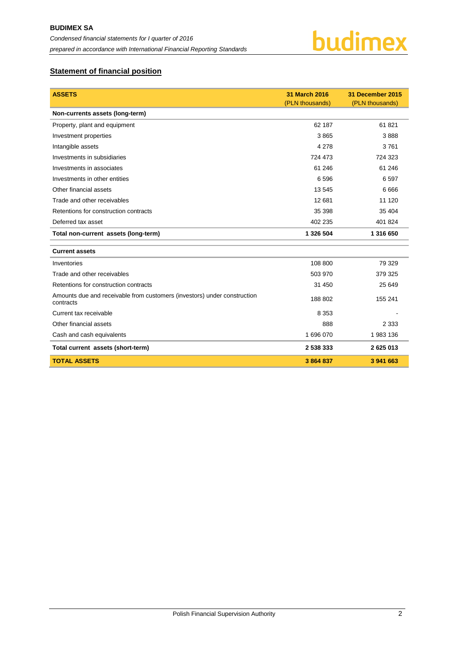

# <span id="page-2-0"></span>**Statement of financial position**

| <b>ASSETS</b>                                                                         | 31 March 2016   | 31 December 2015 |
|---------------------------------------------------------------------------------------|-----------------|------------------|
|                                                                                       | (PLN thousands) | (PLN thousands)  |
| Non-currents assets (long-term)                                                       |                 |                  |
| Property, plant and equipment                                                         | 62 187          | 61821            |
| Investment properties                                                                 | 3865            | 3888             |
| Intangible assets                                                                     | 4 2 7 8         | 3761             |
| Investments in subsidiaries                                                           | 724 473         | 724 323          |
| Investments in associates                                                             | 61 24 6         | 61 24 6          |
| Investments in other entities                                                         | 6596            | 6597             |
| Other financial assets                                                                | 13 545          | 6666             |
| Trade and other receivables                                                           | 12 681          | 11 120           |
| Retentions for construction contracts                                                 | 35 398          | 35 404           |
| Deferred tax asset                                                                    | 402 235         | 401 824          |
| Total non-current assets (long-term)                                                  | 1 326 504       | 1 316 650        |
| <b>Current assets</b>                                                                 |                 |                  |
| Inventories                                                                           | 108 800         | 79 329           |
| Trade and other receivables                                                           | 503 970         | 379 325          |
| Retentions for construction contracts                                                 | 31 450          | 25 649           |
| Amounts due and receivable from customers (investors) under construction<br>contracts | 188 802         | 155 241          |
| Current tax receivable                                                                | 8 3 5 3         |                  |
| Other financial assets                                                                | 888             | 2 3 3 3          |
| Cash and cash equivalents                                                             | 1696070         | 1983 136         |
| Total current assets (short-term)                                                     | 2 538 333       | 2625013          |
| <b>TOTAL ASSETS</b>                                                                   | 3864837         | 3 941 663        |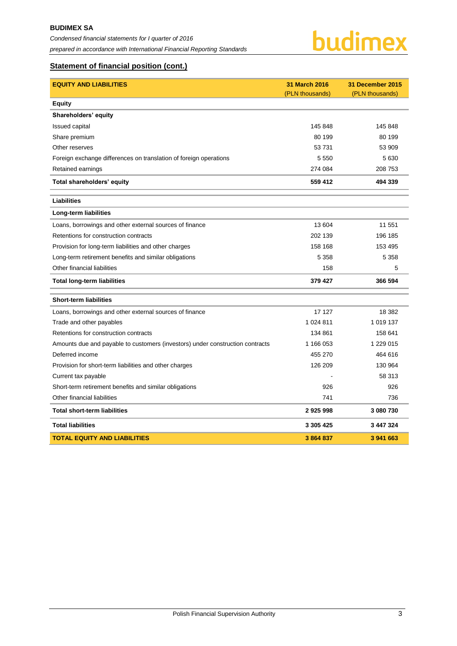# **Statement of financial position (cont.)**

| <b>EQUITY AND LIABILITIES</b>                                                 | 31 March 2016   | 31 December 2015 |
|-------------------------------------------------------------------------------|-----------------|------------------|
|                                                                               | (PLN thousands) | (PLN thousands)  |
| <b>Equity</b>                                                                 |                 |                  |
| Shareholders' equity                                                          |                 |                  |
| <b>Issued capital</b>                                                         | 145 848         | 145 848          |
| Share premium                                                                 | 80 199          | 80 199           |
| Other reserves                                                                | 53731           | 53 909           |
| Foreign exchange differences on translation of foreign operations             | 5 5 5 0         | 5 6 3 0          |
| Retained earnings                                                             | 274 084         | 208 753          |
| Total shareholders' equity                                                    | 559 412         | 494 339          |
| <b>Liabilities</b>                                                            |                 |                  |
| Long-term liabilities                                                         |                 |                  |
| Loans, borrowings and other external sources of finance                       | 13 604          | 11 551           |
| Retentions for construction contracts                                         | 202 139         | 196 185          |
| Provision for long-term liabilities and other charges                         | 158 168         | 153 495          |
| Long-term retirement benefits and similar obligations                         | 5 3 5 8         | 5 3 5 8          |
| Other financial liabilities                                                   | 158             | 5                |
| <b>Total long-term liabilities</b>                                            | 379 427         | 366 594          |
| <b>Short-term liabilities</b>                                                 |                 |                  |
| Loans, borrowings and other external sources of finance                       | 17 127          | 18 382           |
| Trade and other payables                                                      | 1 024 811       | 1 019 137        |
| Retentions for construction contracts                                         | 134 861         | 158 641          |
| Amounts due and payable to customers (investors) under construction contracts | 1 166 053       | 1 229 015        |
| Deferred income                                                               | 455 270         | 464 616          |
| Provision for short-term liabilities and other charges                        | 126 209         | 130 964          |
| Current tax payable                                                           |                 | 58 313           |
| Short-term retirement benefits and similar obligations                        | 926             | 926              |
| Other financial liabilities                                                   | 741             | 736              |
| <b>Total short-term liabilities</b>                                           | 2925998         | 3 080 730        |
| <b>Total liabilities</b>                                                      | 3 305 425       | 3 447 324        |
| <b>TOTAL EQUITY AND LIABILITIES</b>                                           | 3864837         | 3 941 663        |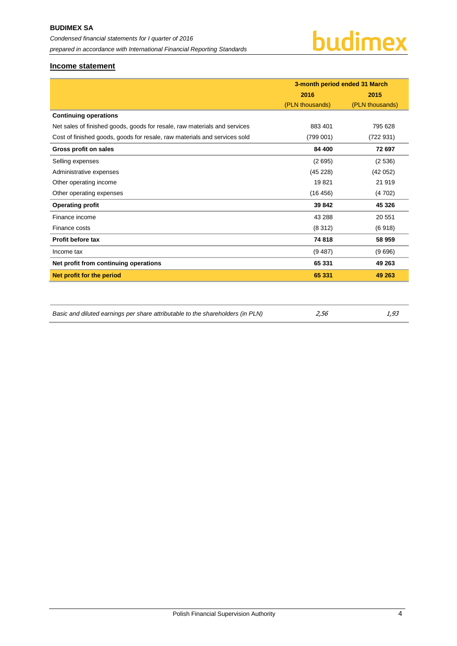## <span id="page-4-0"></span>**Income statement**

|                                                                           | 3-month period ended 31 March |                 |  |
|---------------------------------------------------------------------------|-------------------------------|-----------------|--|
|                                                                           | 2016                          | 2015            |  |
|                                                                           | (PLN thousands)               | (PLN thousands) |  |
| <b>Continuing operations</b>                                              |                               |                 |  |
| Net sales of finished goods, goods for resale, raw materials and services | 883 401                       | 795 628         |  |
| Cost of finished goods, goods for resale, raw materials and services sold | (799001)                      | (722931)        |  |
| Gross profit on sales                                                     | 84 400                        | 72 697          |  |
| Selling expenses                                                          | (2695)                        | (2536)          |  |
| Administrative expenses                                                   | (45 228)                      | (42 052)        |  |
| Other operating income                                                    | 19821                         | 21 919          |  |
| Other operating expenses                                                  | (16456)                       | (4702)          |  |
| <b>Operating profit</b>                                                   | 39 842                        | 45 326          |  |
| Finance income                                                            | 43 288                        | 20 551          |  |
| Finance costs                                                             | (8312)                        | (6918)          |  |
| Profit before tax                                                         | 74 818                        | 58 959          |  |
| Income tax                                                                | (9 487)                       | (9696)          |  |
| Net profit from continuing operations                                     | 65 331                        | 49 263          |  |
| Net profit for the period                                                 | 65 331                        | 49 263          |  |
|                                                                           |                               |                 |  |

| Basic and diluted earnings per share attributable to the shareholders (in PLN)<br>2,56 | 1,93 |
|----------------------------------------------------------------------------------------|------|
|----------------------------------------------------------------------------------------|------|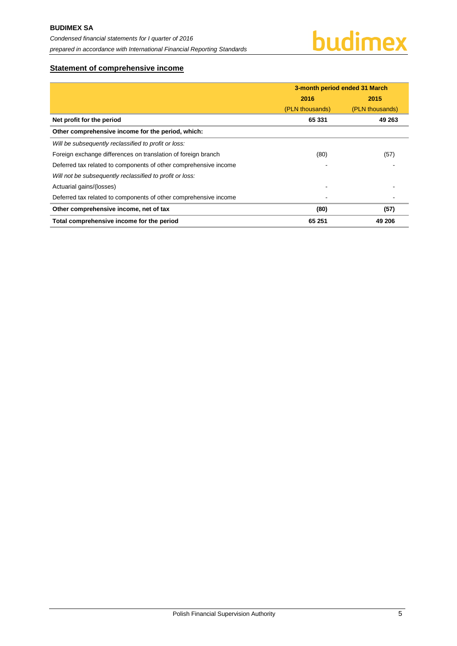# <span id="page-5-0"></span>**Statement of comprehensive income**

|                                                                  | 3-month period ended 31 March |                 |  |
|------------------------------------------------------------------|-------------------------------|-----------------|--|
|                                                                  | 2016                          | 2015            |  |
|                                                                  | (PLN thousands)               | (PLN thousands) |  |
| Net profit for the period                                        | 65 331                        | 49 263          |  |
| Other comprehensive income for the period, which:                |                               |                 |  |
| Will be subsequently reclassified to profit or loss:             |                               |                 |  |
| Foreign exchange differences on translation of foreign branch    | (80)                          | (57)            |  |
| Deferred tax related to components of other comprehensive income |                               |                 |  |
| Will not be subsequently reclassified to profit or loss:         |                               |                 |  |
| Actuarial gains/(losses)                                         |                               |                 |  |
| Deferred tax related to components of other comprehensive income |                               |                 |  |
| Other comprehensive income, net of tax                           | (80)                          | (57)            |  |
| Total comprehensive income for the period                        | 65 251                        | 49 206          |  |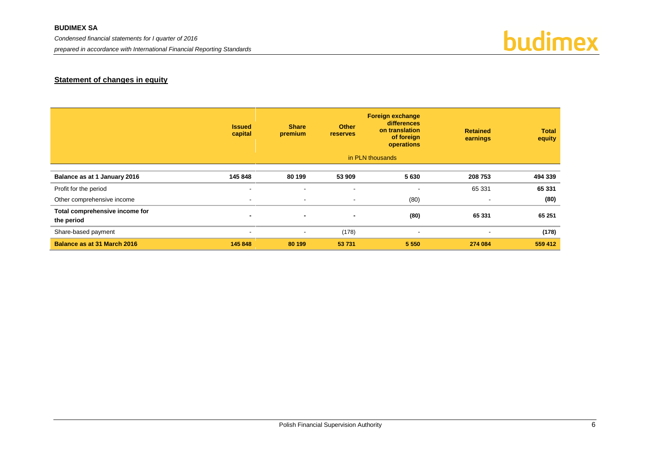## **BUDIMEX SA**

*Condensed financial statements for I quarter of 2016*

*prepared in accordance with International Financial Reporting Standards*



# **Statement of changes in equity**

<span id="page-6-0"></span>

|                                              | <b>Issued</b><br>capital | <b>Share</b><br>premium | <b>Other</b><br><b>reserves</b> | <b>Foreign exchange</b><br><b>differences</b><br>on translation<br>of foreign<br>operations | <b>Retained</b><br>earnings | <b>Total</b><br>equity |
|----------------------------------------------|--------------------------|-------------------------|---------------------------------|---------------------------------------------------------------------------------------------|-----------------------------|------------------------|
|                                              |                          |                         |                                 | in PLN thousands                                                                            |                             |                        |
| Balance as at 1 January 2016                 | 145 848                  | 80 199                  | 53 909                          | 5630                                                                                        | 208 753                     | 494 339                |
| Profit for the period                        | $\overline{\phantom{a}}$ | $\sim$                  | $\overline{\phantom{a}}$        | -                                                                                           | 65 331                      | 65 331                 |
| Other comprehensive income                   | $\blacksquare$           | $\sim$                  | $\sim$                          | (80)                                                                                        | $\blacksquare$              | (80)                   |
| Total comprehensive income for<br>the period | $\overline{\phantom{0}}$ |                         | ٠                               | (80)                                                                                        | 65 331                      | 65 251                 |
| Share-based payment                          | $\sim$                   | $\sim$                  | (178)                           | $\sim$                                                                                      | $\blacksquare$              | (178)                  |
| <b>Balance as at 31 March 2016</b>           | 145 848                  | 80 199                  | 53 731                          | 5 5 5 0                                                                                     | 274 084                     | 559 412                |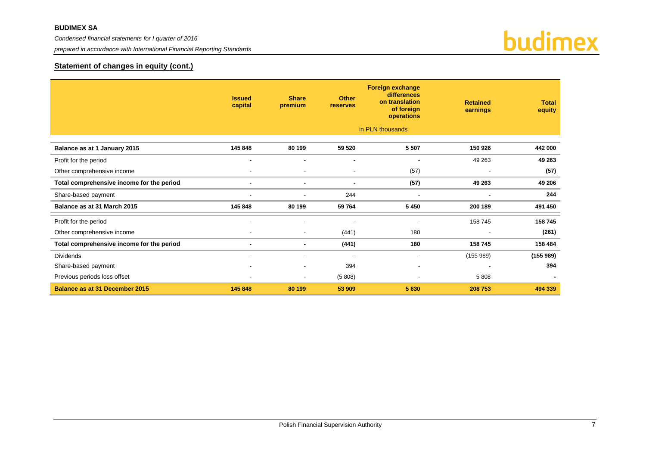*prepared in accordance with International Financial Reporting Standards*



# **Statement of changes in equity (cont.)**

|                                           | <b>Issued</b><br>capital | <b>Share</b><br>premium  | <b>Other</b><br><b>reserves</b> | <b>Foreign exchange</b><br>differences<br>on translation<br>of foreign<br>operations | <b>Retained</b><br>earnings | <b>Total</b><br>equity |
|-------------------------------------------|--------------------------|--------------------------|---------------------------------|--------------------------------------------------------------------------------------|-----------------------------|------------------------|
|                                           |                          |                          |                                 | in PLN thousands                                                                     |                             |                        |
| Balance as at 1 January 2015              | 145 848                  | 80 199                   | 59 520                          | 5 5 0 7                                                                              | 150 926                     | 442 000                |
| Profit for the period                     | $\blacksquare$           | $\overline{\phantom{a}}$ | $\overline{\phantom{a}}$        |                                                                                      | 49 263                      | 49 263                 |
| Other comprehensive income                | $\overline{\phantom{a}}$ | $\overline{\phantom{a}}$ |                                 | (57)                                                                                 | $\overline{\phantom{a}}$    | (57)                   |
| Total comprehensive income for the period | ٠                        | $\blacksquare$           |                                 | (57)                                                                                 | 49 263                      | 49 206                 |
| Share-based payment                       | ٠                        |                          | 244                             | $\overline{\phantom{a}}$                                                             | ٠                           | 244                    |
| Balance as at 31 March 2015               | 145 848                  | 80 199                   | 59 764                          | 5 4 5 0                                                                              | 200 189                     | 491 450                |
| Profit for the period                     | $\blacksquare$           |                          |                                 |                                                                                      | 158 745                     | 158 745                |
| Other comprehensive income                | $\overline{\phantom{a}}$ | $\overline{\phantom{a}}$ | (441)                           | 180                                                                                  | $\overline{\phantom{a}}$    | (261)                  |
| Total comprehensive income for the period | $\blacksquare$           | $\sim$                   | (441)                           | 180                                                                                  | 158 745                     | 158 484                |
| <b>Dividends</b>                          | $\blacksquare$           | $\blacksquare$           |                                 |                                                                                      | (155989)                    | (155989)               |
| Share-based payment                       | $\overline{\phantom{a}}$ | $\overline{\phantom{a}}$ | 394                             |                                                                                      |                             | 394                    |
| Previous periods loss offset              | $\overline{\phantom{a}}$ | $\overline{\phantom{a}}$ | (5808)                          |                                                                                      | 5 8 0 8                     |                        |
| <b>Balance as at 31 December 2015</b>     | 145 848                  | 80 199                   | 53 909                          | 5 6 3 0                                                                              | 208 753                     | 494 339                |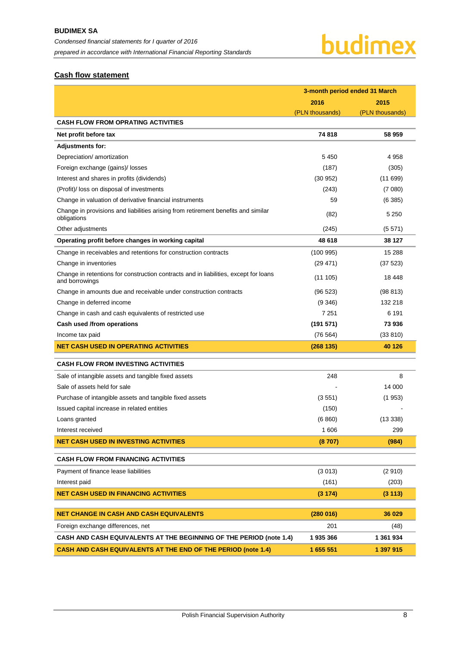# <span id="page-8-0"></span>**Cash flow statement**

|                                                                                                        | 3-month period ended 31 March |                 |  |
|--------------------------------------------------------------------------------------------------------|-------------------------------|-----------------|--|
|                                                                                                        | 2016                          | 2015            |  |
|                                                                                                        | (PLN thousands)               | (PLN thousands) |  |
| <b>CASH FLOW FROM OPRATING ACTIVITIES</b>                                                              |                               |                 |  |
| Net profit before tax                                                                                  | 74 818                        | 58 959          |  |
| <b>Adjustments for:</b>                                                                                |                               |                 |  |
| Depreciation/ amortization                                                                             | 5 4 5 0                       | 4958            |  |
| Foreign exchange (gains)/ losses                                                                       | (187)                         | (305)           |  |
| Interest and shares in profits (dividends)                                                             | (30952)                       | (11699)         |  |
| (Profit)/ loss on disposal of investments                                                              | (243)                         | (7080)          |  |
| Change in valuation of derivative financial instruments                                                | 59                            | (6385)          |  |
| Change in provisions and liabilities arising from retirement benefits and similar<br>obligations       | (82)                          | 5 2 5 0         |  |
| Other adjustments                                                                                      | (245)                         | (5571)          |  |
| Operating profit before changes in working capital                                                     | 48 618                        | 38 127          |  |
| Change in receivables and retentions for construction contracts                                        | (100995)                      | 15 288          |  |
| Change in inventories                                                                                  | (29 471)                      | (37523)         |  |
| Change in retentions for construction contracts and in liabilities, except for loans<br>and borrowings | (11105)                       | 18 448          |  |
| Change in amounts due and receivable under construction contracts                                      | (96523)                       | (98813)         |  |
| Change in deferred income                                                                              | (9346)                        | 132 218         |  |
| Change in cash and cash equivalents of restricted use                                                  | 7 2 5 1                       | 6 191           |  |
| Cash used /from operations                                                                             | (191571)                      | 73 936          |  |
| Income tax paid                                                                                        | (76 564)                      | (33 810)        |  |
| NET CASH USED IN OPERATING ACTIVITIES                                                                  | (268135)                      | 40 126          |  |
| <b>CASH FLOW FROM INVESTING ACTIVITIES</b>                                                             |                               |                 |  |
| Sale of intangible assets and tangible fixed assets                                                    | 248                           | 8               |  |
| Sale of assets held for sale                                                                           |                               | 14 000          |  |
| Purchase of intangible assets and tangible fixed assets                                                | (3551)                        | (1953)          |  |
| Issued capital increase in related entities                                                            | (150)                         |                 |  |
| Loans granted                                                                                          | (6 860)                       | (13338)         |  |
| Interest received                                                                                      | 1 606                         | 299             |  |
| NET CASH USED IN INVESTING ACTIVITIES                                                                  | (8707)                        | (984)           |  |
| <b>CASH FLOW FROM FINANCING ACTIVITIES</b>                                                             |                               |                 |  |
| Payment of finance lease liabilities                                                                   | (3 013)                       | (2910)          |  |
| Interest paid                                                                                          | (161)                         | (203)           |  |
| <b>NET CASH USED IN FINANCING ACTIVITIES</b>                                                           | (3174)                        | (3 113)         |  |
| <b>NET CHANGE IN CASH AND CASH EQUIVALENTS</b>                                                         | (280 016)                     | 36 029          |  |
| Foreign exchange differences, net                                                                      | 201                           | (48)            |  |
| <b>CASH AND CASH EQUIVALENTS AT THE BEGINNING OF THE PERIOD (note 1.4)</b>                             | 1935366                       | 1 361 934       |  |
| <b>CASH AND CASH EQUIVALENTS AT THE END OF THE PERIOD (note 1.4)</b>                                   | 1 655 551                     | 1 397 915       |  |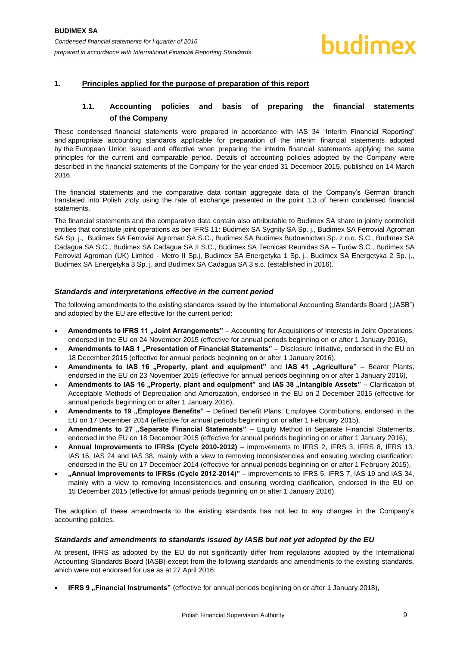## <span id="page-9-1"></span><span id="page-9-0"></span>**1. Principles applied for the purpose of preparation of this report**

## **1.1. Accounting policies and basis of preparing the financial statements of the Company**

These condensed financial statements were prepared in accordance with IAS 34 "Interim Financial Reporting" and appropriate accounting standards applicable for preparation of the interim financial statements adopted by the European Union issued and effective when preparing the interim financial statements applying the same principles for the current and comparable period. Details of accounting policies adopted by the Company were described in the financial statements of the Company for the year ended 31 December 2015, published on 14 March 2016.

The financial statements and the comparative data contain aggregate data of the Company's German branch translated into Polish zloty using the rate of exchange presented in the point 1.3 of herein condensed financial statements.

The financial statements and the comparative data contain also attributable to Budimex SA share in jointly controlled entities that constitute joint operations as per IFRS 11: Budimex SA Sygnity SA Sp. j., Budimex SA Ferrovial Agroman SA Sp. j., Budimex SA Ferrovial Agroman SA S.C., Budimex SA Budimex Budownictwo Sp. z o.o. S.C., Budimex SA Cadagua SA S.C., Budimex SA Cadagua SA II S.C., Budimex SA Tecnicas Reunidas SA – Turów S.C., Budimex SA Ferrovial Agroman (UK) Limited - Metro II Sp.j, Budimex SA Energetyka 1 Sp. j., Budimex SA Energetyka 2 Sp. j., Budimex SA Energetyka 3 Sp. j. and Budimex SA Cadagua SA 3 s.c. (established in 2016).

## *Standards and interpretations effective in the current period*

The following amendments to the existing standards issued by the International Accounting Standards Board ("IASB") and adopted by the EU are effective for the current period:

- Amendments to IFRS 11 "Joint Arrangements" Accounting for Acquisitions of Interests in Joint Operations, endorsed in the EU on 24 November 2015 (effective for annual periods beginning on or after 1 January 2016),
- Amendments to IAS 1 "Presentation of Financial Statements" Disclosure Initiative, endorsed in the EU on 18 December 2015 (effective for annual periods beginning on or after 1 January 2016),
- Amendments to IAS 16 "Property, plant and equipment" and IAS 41 "Agriculture" Bearer Plants, endorsed in the EU on 23 November 2015 (effective for annual periods beginning on or after 1 January 2016),
- Amendments to IAS 16 "Property, plant and equipment" and IAS 38 "Intangible Assets" Clarification of Acceptable Methods of Depreciation and Amortization, endorsed in the EU on 2 December 2015 (effective for annual periods beginning on or after 1 January 2016),
- Amendments to 19 .Employee Benefits" Defined Benefit Plans: Employee Contributions, endorsed in the EU on 17 December 2014 (effective for annual periods beginning on or after 1 February 2015),
- **Amendments to 27 "Separate Financial Statements"** Equity Method in Separate Financial Statements, endorsed in the EU on 18 December 2015 (effective for annual periods beginning on or after 1 January 2016),
- **Annual Improvements to IFRSs (Cycle 2010-2012)** improvements to IFRS 2, IFRS 3, IFRS 8, IFRS 13, IAS 16, IAS 24 and IAS 38, mainly with a view to removing inconsistencies and ensuring wording clarification; endorsed in the EU on 17 December 2014 (effective for annual periods beginning on or after 1 February 2015),
- **"Annual Improvements to IFRSs (Cycle 2012-2014)"** improvements to IFRS 5, IFRS 7, IAS 19 and IAS 34, mainly with a view to removing inconsistencies and ensuring wording clarification, endorsed in the EU on 15 December 2015 (effective for annual periods beginning on or after 1 January 2016).

The adoption of these amendments to the existing standards has not led to any changes in the Company's accounting policies.

## *Standards and amendments to standards issued by IASB but not yet adopted by the EU*

At present, IFRS as adopted by the EU do not significantly differ from regulations adopted by the International Accounting Standards Board (IASB) except from the following standards and amendments to the existing standards, which were not endorsed for use as at 27 April 2016:

**IFRS 9** "Financial Instruments" (effective for annual periods beginning on or after 1 January 2018),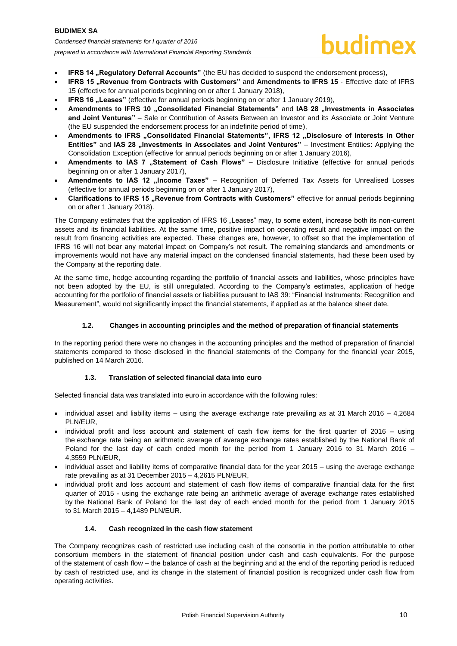- **IFRS 14 "Regulatory Deferral Accounts"** (the EU has decided to suspend the endorsement process),
- **IFRS 15 "Revenue from Contracts with Customers"** and **Amendments to IFRS 15** Effective date of IFRS 15 (effective for annual periods beginning on or after 1 January 2018),
- **IFRS 16 . Leases"** (effective for annual periods beginning on or after 1 January 2019),
- Amendments to IFRS 10 "Consolidated Financial Statements" and IAS 28 "Investments in Associates **and Joint Ventures"** – Sale or Contribution of Assets Between an Investor and its Associate or Joint Venture (the EU suspended the endorsement process for an indefinite period of time),
- Amendments to IFRS "Consolidated Financial Statements", IFRS 12 "Disclosure of Interests in Other **Entities"** and IAS 28 "Investments in Associates and Joint Ventures" – Investment Entities: Applying the Consolidation Exception (effective for annual periods beginning on or after 1 January 2016),
- Amendments to IAS 7 "Statement of Cash Flows" Disclosure Initiative (effective for annual periods beginning on or after 1 January 2017),
- Amendments to IAS 12 "Income Taxes" Recognition of Deferred Tax Assets for Unrealised Losses (effective for annual periods beginning on or after 1 January 2017),
- **Clarifications to IFRS 15 "Revenue from Contracts with Customers"** effective for annual periods beginning on or after 1 January 2018).

The Company estimates that the application of IFRS 16 "Leases" may, to some extent, increase both its non-current assets and its financial liabilities. At the same time, positive impact on operating result and negative impact on the result from financing activities are expected. These changes are, however, to offset so that the implementation of IFRS 16 will not bear any material impact on Company's net result. The remaining standards and amendments or improvements would not have any material impact on the condensed financial statements, had these been used by the Company at the reporting date.

At the same time, hedge accounting regarding the portfolio of financial assets and liabilities, whose principles have not been adopted by the EU, is still unregulated. According to the Company's estimates, application of hedge accounting for the portfolio of financial assets or liabilities pursuant to IAS 39: "Financial Instruments: Recognition and Measurement", would not significantly impact the financial statements, if applied as at the balance sheet date.

## **1.2. Changes in accounting principles and the method of preparation of financial statements**

<span id="page-10-0"></span>In the reporting period there were no changes in the accounting principles and the method of preparation of financial statements compared to those disclosed in the financial statements of the Company for the financial year 2015, published on 14 March 2016.

#### **1.3. Translation of selected financial data into euro**

<span id="page-10-1"></span>Selected financial data was translated into euro in accordance with the following rules:

- $\bullet$  individual asset and liability items using the average exchange rate prevailing as at 31 March 2016 4,2684 PLN/EUR,
- individual profit and loss account and statement of cash flow items for the first quarter of 2016 using the exchange rate being an arithmetic average of average exchange rates established by the National Bank of Poland for the last day of each ended month for the period from 1 January 2016 to 31 March 2016 -4,3559 PLN/EUR,
- individual asset and liability items of comparative financial data for the year 2015 using the average exchange rate prevailing as at 31 December 2015 – 4,2615 PLN/EUR,
- individual profit and loss account and statement of cash flow items of comparative financial data for the first quarter of 2015 - using the exchange rate being an arithmetic average of average exchange rates established by the National Bank of Poland for the last day of each ended month for the period from 1 January 2015 to 31 March 2015 – 4,1489 PLN/EUR.

## **1.4. Cash recognized in the cash flow statement**

<span id="page-10-2"></span>The Company recognizes cash of restricted use including cash of the consortia in the portion attributable to other consortium members in the statement of financial position under cash and cash equivalents. For the purpose of the statement of cash flow – the balance of cash at the beginning and at the end of the reporting period is reduced by cash of restricted use, and its change in the statement of financial position is recognized under cash flow from operating activities.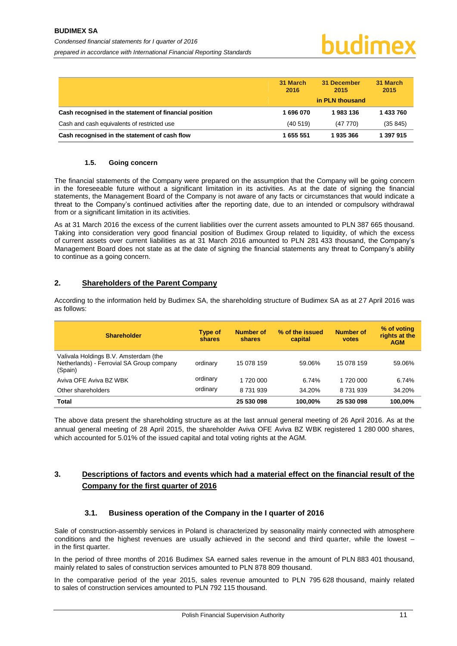|                                                        | 31 March<br>2016 | 31 December<br>2015 | 31 March<br>2015 |
|--------------------------------------------------------|------------------|---------------------|------------------|
|                                                        |                  | in PLN thousand     |                  |
| Cash recognised in the statement of financial position | 1696070          | 1983136             | 1 433 760        |
| Cash and cash equivalents of restricted use            | (40519)          | (47770)             | (35845)          |
| Cash recognised in the statement of cash flow          | 1 655 551        | 1935366             | 1 397 915        |

#### **1.5. Going concern**

<span id="page-11-0"></span>The financial statements of the Company were prepared on the assumption that the Company will be going concern in the foreseeable future without a significant limitation in its activities. As at the date of signing the financial statements, the Management Board of the Company is not aware of any facts or circumstances that would indicate a threat to the Company's continued activities after the reporting date, due to an intended or compulsory withdrawal from or a significant limitation in its activities.

As at 31 March 2016 the excess of the current liabilities over the current assets amounted to PLN 387 665 thousand. Taking into consideration very good financial position of Budimex Group related to liquidity, of which the excess of current assets over current liabilities as at 31 March 2016 amounted to PLN 281 433 thousand, the Company's Management Board does not state as at the date of signing the financial statements any threat to Company's ability to continue as a going concern.

# <span id="page-11-1"></span>**2. Shareholders of the Parent Company**

| as juliuws.                                                                                   |                          |                            |                            |                           |                                            |  |  |
|-----------------------------------------------------------------------------------------------|--------------------------|----------------------------|----------------------------|---------------------------|--------------------------------------------|--|--|
| <b>Shareholder</b>                                                                            | <b>Type of</b><br>shares | <b>Number of</b><br>shares | % of the issued<br>capital | <b>Number of</b><br>votes | % of voting<br>rights at the<br><b>AGM</b> |  |  |
| Valivala Holdings B.V. Amsterdam (the<br>Netherlands) - Ferrovial SA Group company<br>(Spain) | ordinary                 | 15 078 159                 | 59.06%                     | 15 078 159                | 59.06%                                     |  |  |
| Aviva OFE Aviva BZ WBK                                                                        | ordinary                 | 1 720 000                  | 6.74%                      | 1 720 000                 | 6.74%                                      |  |  |

According to the information held by Budimex SA, the shareholding structure of Budimex SA as at 27 April 2016 was  $\epsilon$ s follows:

The above data present the shareholding structure as at the last annual general meeting of 26 April 2016. As at the annual general meeting of 28 April 2015, the shareholder Aviva OFE Aviva BZ WBK registered 1 280 000 shares, which accounted for 5.01% of the issued capital and total voting rights at the AGM.

Other shareholders ordinary 8 731 939 34.20% 8 731 939 34.20% **Total 25 530 098 100,00% 25 530 098 100,00%**

# <span id="page-11-2"></span>**3. Descriptions of factors and events which had a material effect on the financial result of the Company for the first quarter of 2016**

## **3.1. Business operation of the Company in the I quarter of 2016**

<span id="page-11-3"></span>Sale of construction-assembly services in Poland is characterized by seasonality mainly connected with atmosphere conditions and the highest revenues are usually achieved in the second and third quarter, while the lowest – in the first quarter.

In the period of three months of 2016 Budimex SA earned sales revenue in the amount of PLN 883 401 thousand, mainly related to sales of construction services amounted to PLN 878 809 thousand.

In the comparative period of the year 2015, sales revenue amounted to PLN 795 628 thousand, mainly related to sales of construction services amounted to PLN 792 115 thousand.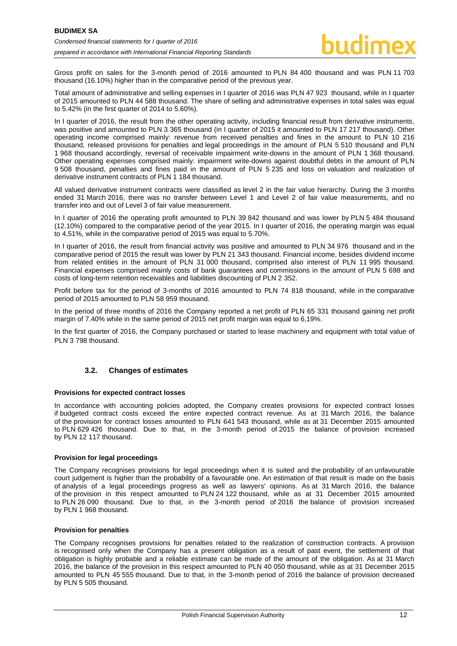Gross profit on sales for the 3-month period of 2016 amounted to PLN 84 400 thousand and was PLN 11 703 thousand (16.10%) higher than in the comparative period of the previous year.

Total amount of administrative and selling expenses in I quarter of 2016 was PLN 47 923 thousand, while in I quarter of 2015 amounted to PLN 44 588 thousand. The share of selling and administrative expenses in total sales was equal to 5.42% (in the first quarter of 2014 to 5.60%).

In I quarter of 2016, the result from the other operating activity, including financial result from derivative instruments, was positive and amounted to PLN 3 365 thousand (in I quarter of 2015 it amounted to PLN 17 217 thousand). Other operating income comprised mainly: revenue from received penalties and fines in the amount to PLN 10 216 thousand, released provisions for penalties and legal proceedings in the amount of PLN 5 510 thousand and PLN 1 968 thousand accordingly, reversal of receivable impairment write-downs in the amount of PLN 1 368 thousand. Other operating expenses comprised mainly: impairment write-downs against doubtful debts in the amount of PLN 9 508 thousand, penalties and fines paid in the amount of PLN 5 235 and loss on valuation and realization of derivative instrument contracts of PLN 1 184 thousand.

All valued derivative instrument contracts were classified as level 2 in the fair value hierarchy. During the 3 months ended 31 March 2016, there was no transfer between Level 1 and Level 2 of fair value measurements, and no transfer into and out of Level 3 of fair value measurement.

In I quarter of 2016 the operating profit amounted to PLN 39 842 thousand and was lower by PLN 5 484 thousand (12.10%) compared to the comparative period of the year 2015. In I quarter of 2016, the operating margin was equal to 4,51%, while in the comparative period of 2015 was equal to 5.70%.

In I quarter of 2016, the result from financial activity was positive and amounted to PLN 34 976 thousand and in the comparative period of 2015 the result was lower by PLN 21 343 thousand. Financial income, besides dividend income from related entities in the amount of PLN 31 000 thousand, comprised also interest of PLN 11 995 thousand. Financial expenses comprised mainly costs of bank guarantees and commissions in the amount of PLN 5 698 and costs of long-term retention receivables and liabilities discounting of PLN 2 352.

Profit before tax for the period of 3-months of 2016 amounted to PLN 74 818 thousand, while in the comparative period of 2015 amounted to PLN 58 959 thousand.

In the period of three months of 2016 the Company reported a net profit of PLN 65 331 thousand gaining net profit margin of 7.40% while in the same period of 2015 net profit margin was equal to 6,19%.

In the first quarter of 2016, the Company purchased or started to lease machinery and equipment with total value of PLN 3 798 thousand.

## **3.2. Changes of estimates**

#### <span id="page-12-0"></span>**Provisions for expected contract losses**

In accordance with accounting policies adopted, the Company creates provisions for expected contract losses if budgeted contract costs exceed the entire expected contract revenue. As at 31 March 2016, the balance of the provision for contract losses amounted to PLN 641 543 thousand, while as at 31 December 2015 amounted to PLN 629 426 thousand. Due to that, in the 3-month period of 2015 the balance of provision increased by PLN 12 117 thousand.

#### **Provision for legal proceedings**

The Company recognises provisions for legal proceedings when it is suited and the probability of an unfavourable court judgement is higher than the probability of a favourable one. An estimation of that result is made on the basis of analysis of a legal proceedings progress as well as lawyers' opinions. As at 31 March 2016, the balance of the provision in this respect amounted to PLN 24 122 thousand, while as at 31 December 2015 amounted to PLN 26 090 thousand. Due to that, in the 3-month period of 2016 the balance of provision increased by PLN 1 968 thousand.

#### **Provision for penalties**

The Company recognises provisions for penalties related to the realization of construction contracts. A provision is recognised only when the Company has a present obligation as a result of past event, the settlement of that obligation is highly probable and a reliable estimate can be made of the amount of the obligation. As at 31 March 2016, the balance of the provision in this respect amounted to PLN 40 050 thousand, while as at 31 December 2015 amounted to PLN 45 555 thousand. Due to that, in the 3-month period of 2016 the balance of provision decreased by PLN 5 505 thousand.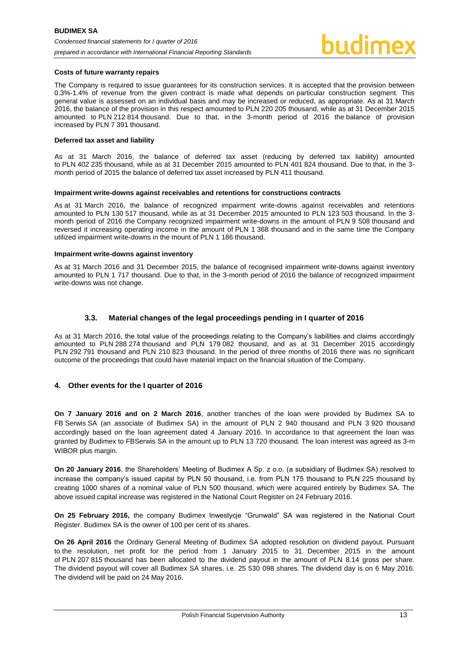#### **Costs of future warranty repairs**

The Company is required to issue guarantees for its construction services. It is accepted that the provision between 0.3%-1.4% of revenue from the given contract is made what depends on particular construction segment. This general value is assessed on an individual basis and may be increased or reduced, as appropriate. As at 31 March 2016, the balance of the provision in this respect amounted to PLN 220 205 thousand, while as at 31 December 2015 amounted to PLN 212 814 thousand. Due to that, in the 3-month period of 2016 the balance of provision increased by PLN 7 391 thousand.

#### **Deferred tax asset and liability**

As at 31 March 2016, the balance of deferred tax asset (reducing by deferred tax liability) amounted to PLN 402 235 thousand, while as at 31 December 2015 amounted to PLN 401 824 thousand. Due to that, in the 3 month period of 2015 the balance of deferred tax asset increased by PLN 411 thousand.

#### **Impairment write-downs against receivables and retentions for constructions contracts**

As at 31 March 2016, the balance of recognized impairment write-downs against receivables and retentions amounted to PLN 130 517 thousand, while as at 31 December 2015 amounted to PLN 123 503 thousand. In the 3 month period of 2016 the Company recognized impairment write-downs in the amount of PLN 9 508 thousand and reversed it increasing operating income in the amount of PLN 1 368 thousand and in the same time the Company utilized impairment write-downs in the mount of PLN 1 186 thousand.

#### **Impairment write-downs against inventory**

As at 31 March 2016 and 31 December 2015, the balance of recognised impairment write-downs against inventory amounted to PLN 1 717 thousand. Due to that, in the 3-month period of 2016 the balance of recognized impairment write-downs was not change.

#### **3.3. Material changes of the legal proceedings pending in I quarter of 2016**

<span id="page-13-0"></span>As at 31 March 2016, the total value of the proceedings relating to the Company's liabilities and claims accordingly amounted to PLN 288 274 thousand and PLN 179 082 thousand, and as at 31 December 2015 accordingly PLN 292 791 thousand and PLN 210 823 thousand. In the period of three months of 2016 there was no significant outcome of the proceedings that could have material impact on the financial situation of the Company.

## <span id="page-13-1"></span>**4. Other events for the I quarter of 2016**

**On 7 January 2016 and on 2 March 2016**, another tranches of the loan were provided by Budimex SA to FB Serwis SA (an associate of Budimex SA) in the amount of PLN 2 940 thousand and PLN 3 920 thousand accordingly based on the loan agreement dated 4 January 2016. In accordance to that agreement the loan was granted by Budimex to FBSerwis SA in the amount up to PLN 13 720 thousand. The loan interest was agreed as 3-m WIBOR plus margin.

**On 20 January 2016**, the Shareholders' Meeting of Budimex A Sp. z o.o. (a subsidiary of Budimex SA) resolved to increase the company's issued capital by PLN 50 thousand, i.e. from PLN 175 thousand to PLN 225 thousand by creating 1000 shares of a nominal value of PLN 500 thousand, which were acquired entirely by Budimex SA. The above issued capital increase was registered in the National Court Register on 24 February 2016.

**On 25 February 2016,** the company Budimex Inwestycje "Grunwald" SA was registered in the National Court Register. Budimex SA is the owner of 100 per cent of its shares.

**On 26 April 2016** the Ordinary General Meeting of Budimex SA adopted resolution on dividend payout. Pursuant to the resolution, net profit for the period from 1 January 2015 to 31 December 2015 in the amount of PLN 207 815 thousand has been allocated to the dividend payout in the amount of PLN 8.14 gross per share. The dividend payout will cover all Budimex SA shares, i.e. 25 530 098 shares. The dividend day is on 6 May 2016. The dividend will be paid on 24 May 2016.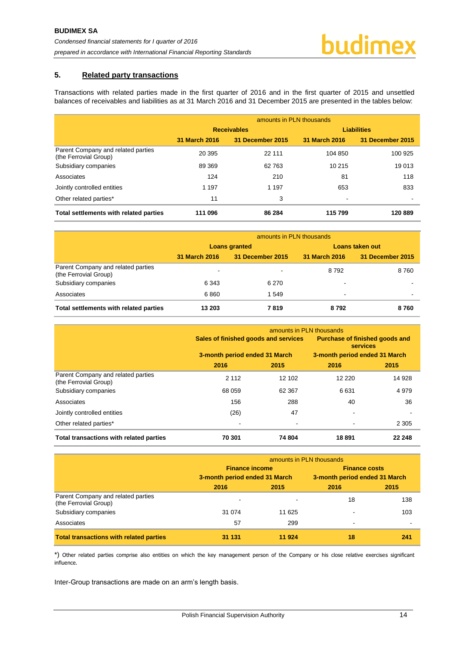## <span id="page-14-0"></span>**5. Related party transactions**

Transactions with related parties made in the first quarter of 2016 and in the first quarter of 2015 and unsettled balances of receivables and liabilities as at 31 March 2016 and 31 December 2015 are presented in the tables below:

|                                                             | amounts in PLN thousands          |                    |                    |                  |  |  |
|-------------------------------------------------------------|-----------------------------------|--------------------|--------------------|------------------|--|--|
|                                                             |                                   | <b>Receivables</b> | <b>Liabilities</b> |                  |  |  |
|                                                             | 31 December 2015<br>31 March 2016 |                    | 31 March 2016      | 31 December 2015 |  |  |
| Parent Company and related parties<br>(the Ferrovial Group) | 20 395                            | 22 111             | 104 850            | 100 925          |  |  |
| Subsidiary companies                                        | 89 369                            | 62 763             | 10 215             | 19 013           |  |  |
| Associates                                                  | 124                               | 210                | 81                 | 118              |  |  |
| Jointly controlled entities                                 | 1 1 9 7                           | 1 1 9 7            | 653                | 833              |  |  |
| Other related parties*                                      | 11                                | 3                  | ۰                  |                  |  |  |
| Total settlements with related parties                      | 111 096                           | 86 284             | 115 799            | 120889           |  |  |

|                                                             | amounts in PLN thousands |                  |                          |                  |  |
|-------------------------------------------------------------|--------------------------|------------------|--------------------------|------------------|--|
|                                                             | <b>Loans granted</b>     |                  | Loans taken out          |                  |  |
|                                                             | 31 March 2016            | 31 December 2015 | 31 March 2016            | 31 December 2015 |  |
| Parent Company and related parties<br>(the Ferrovial Group) | $\overline{\phantom{0}}$ | ٠                | 8792                     | 8760             |  |
| Subsidiary companies                                        | 6 3 4 3                  | 6 2 7 0          | $\overline{\phantom{0}}$ |                  |  |
| Associates                                                  | 6860                     | 1 549            | $\sim$                   |                  |  |
| Total settlements with related parties                      | 13 203                   | 7819             | 8792                     | 8760             |  |

|                                                             | amounts in PLN thousands             |        |                                                          |         |
|-------------------------------------------------------------|--------------------------------------|--------|----------------------------------------------------------|---------|
|                                                             | Sales of finished goods and services |        | <b>Purchase of finished goods and</b><br><b>services</b> |         |
|                                                             | 3-month period ended 31 March        |        | 3-month period ended 31 March                            |         |
|                                                             | 2016                                 | 2015   | 2016                                                     | 2015    |
| Parent Company and related parties<br>(the Ferrovial Group) | 2 1 1 2                              | 12 102 | 12 2 2 0                                                 | 14 928  |
| Subsidiary companies                                        | 68 059                               | 62 367 | 6631                                                     | 4979    |
| Associates                                                  | 156                                  | 288    | 40                                                       | 36      |
| Jointly controlled entities                                 | (26)                                 | 47     |                                                          |         |
| Other related parties*                                      |                                      | ۰      |                                                          | 2 3 0 5 |
| Total transactions with related parties                     | 70 301                               | 74 804 | 18891                                                    | 22 248  |

|                                                             | amounts in PLN thousands      |        |                               |      |  |
|-------------------------------------------------------------|-------------------------------|--------|-------------------------------|------|--|
|                                                             | <b>Finance income</b>         |        | <b>Finance costs</b>          |      |  |
|                                                             | 3-month period ended 31 March |        | 3-month period ended 31 March |      |  |
|                                                             | 2016                          | 2015   | 2016                          | 2015 |  |
| Parent Company and related parties<br>(the Ferrovial Group) |                               |        | 18                            | 138  |  |
| Subsidiary companies                                        | 31 0 74                       | 11 625 |                               | 103  |  |
| Associates                                                  | 57                            | 299    | $\overline{\phantom{0}}$      | -    |  |
| <b>Total transactions with related parties</b>              | 31 131                        | 11 924 | 18                            | 241  |  |

\*) Other related parties comprise also entities on which the key management person of the Company or his close relative exercises significant influence.

Inter-Group transactions are made on an arm's length basis.